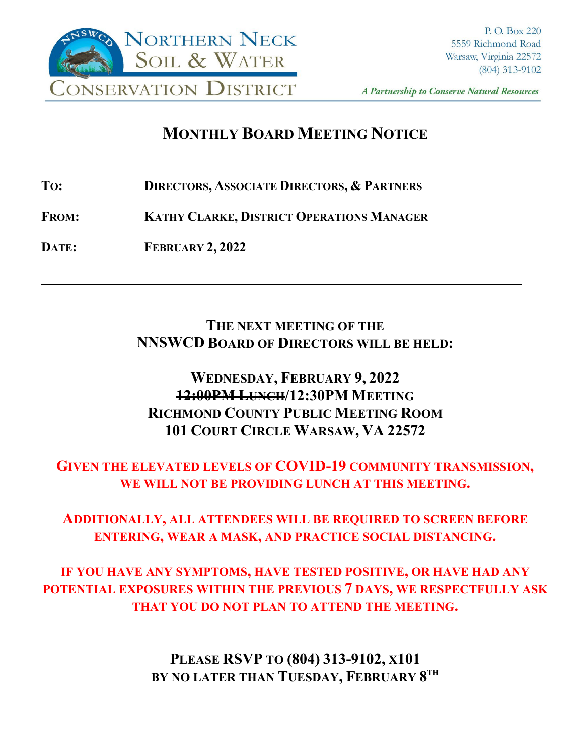

A Partnership to Conserve Natural Resources

**\_\_\_\_**

# **MONTHLY BOARD MEETING NOTICE**

**TO: DIRECTORS, ASSOCIATE DIRECTORS, & PARTNERS**

**FROM: KATHY CLARKE, DISTRICT OPERATIONS MANAGER**

**DATE: FEBRUARY 2, 2022**

## **THE NEXT MEETING OF THE NNSWCD BOARD OF DIRECTORS WILL BE HELD:**

## **WEDNESDAY, FEBRUARY 9, 2022 12:00PM LUNCH/12:30PM MEETING RICHMOND COUNTY PUBLIC MEETING ROOM 101 COURT CIRCLE WARSAW, VA 22572**

## **GIVEN THE ELEVATED LEVELS OF COVID-19 COMMUNITY TRANSMISSION, WE WILL NOT BE PROVIDING LUNCH AT THIS MEETING.**

## **ADDITIONALLY, ALL ATTENDEES WILL BE REQUIRED TO SCREEN BEFORE ENTERING, WEAR A MASK, AND PRACTICE SOCIAL DISTANCING.**

**IF YOU HAVE ANY SYMPTOMS, HAVE TESTED POSITIVE, OR HAVE HAD ANY POTENTIAL EXPOSURES WITHIN THE PREVIOUS 7 DAYS, WE RESPECTFULLY ASK THAT YOU DO NOT PLAN TO ATTEND THE MEETING.**

> **PLEASE RSVP TO (804) 313-9102, X101 BY NO LATER THAN TUESDAY, FEBRUARY 8TH**